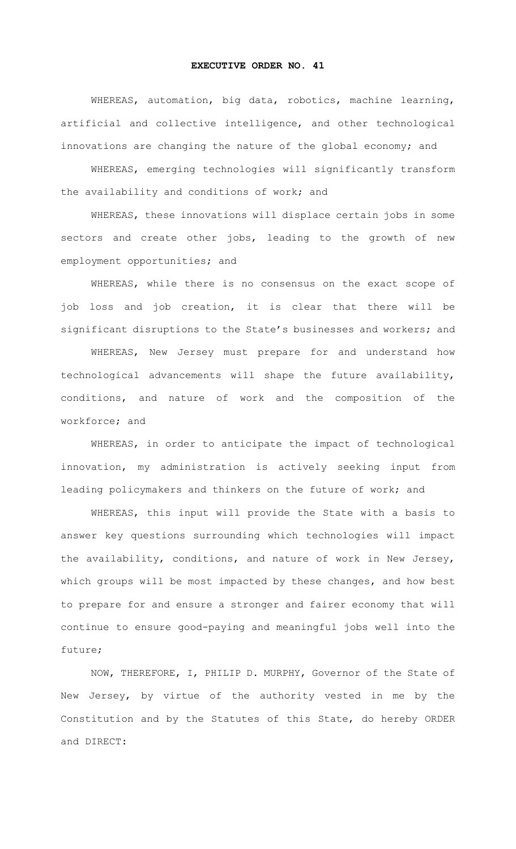## **EXECUTIVE ORDER NO. 41**

WHEREAS, automation, big data, robotics, machine learning, artificial and collective intelligence, and other technological innovations are changing the nature of the global economy; and

WHEREAS, emerging technologies will significantly transform the availability and conditions of work; and

WHEREAS, these innovations will displace certain jobs in some sectors and create other jobs, leading to the growth of new employment opportunities; and

WHEREAS, while there is no consensus on the exact scope of job loss and job creation, it is clear that there will be significant disruptions to the State's businesses and workers; and

WHEREAS, New Jersey must prepare for and understand how technological advancements will shape the future availability, conditions, and nature of work and the composition of the workforce; and

WHEREAS, in order to anticipate the impact of technological innovation, my administration is actively seeking input from leading policymakers and thinkers on the future of work; and

WHEREAS, this input will provide the State with a basis to answer key questions surrounding which technologies will impact the availability, conditions, and nature of work in New Jersey, which groups will be most impacted by these changes, and how best to prepare for and ensure a stronger and fairer economy that will continue to ensure good-paying and meaningful jobs well into the future;

NOW, THEREFORE, I, PHILIP D. MURPHY, Governor of the State of New Jersey, by virtue of the authority vested in me by the Constitution and by the Statutes of this State, do hereby ORDER and DIRECT: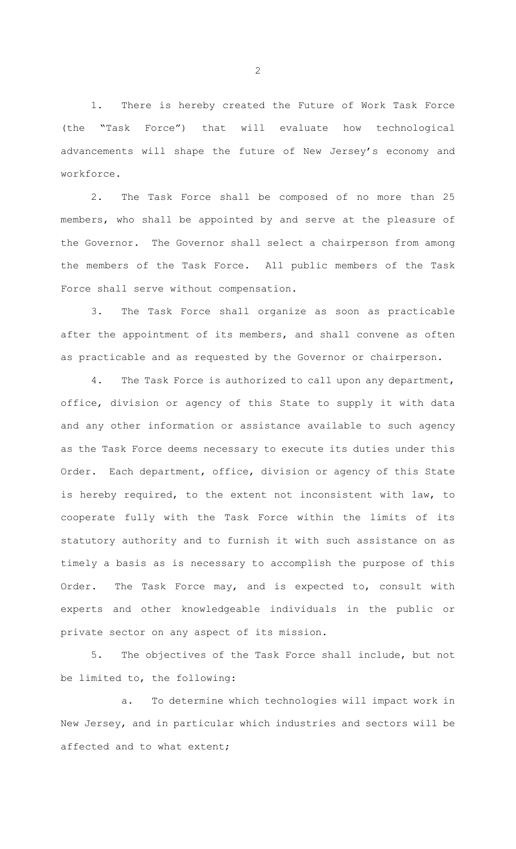1. There is hereby created the Future of Work Task Force (the "Task Force") that will evaluate how technological advancements will shape the future of New Jersey's economy and workforce.

2. The Task Force shall be composed of no more than 25 members, who shall be appointed by and serve at the pleasure of the Governor. The Governor shall select a chairperson from among the members of the Task Force. All public members of the Task Force shall serve without compensation.

3. The Task Force shall organize as soon as practicable after the appointment of its members, and shall convene as often as practicable and as requested by the Governor or chairperson.

4. The Task Force is authorized to call upon any department, office, division or agency of this State to supply it with data and any other information or assistance available to such agency as the Task Force deems necessary to execute its duties under this Order. Each department, office, division or agency of this State is hereby required, to the extent not inconsistent with law, to cooperate fully with the Task Force within the limits of its statutory authority and to furnish it with such assistance on as timely a basis as is necessary to accomplish the purpose of this Order. The Task Force may, and is expected to, consult with experts and other knowledgeable individuals in the public or private sector on any aspect of its mission.

5. The objectives of the Task Force shall include, but not be limited to, the following:

a. To determine which technologies will impact work in New Jersey, and in particular which industries and sectors will be affected and to what extent;

2